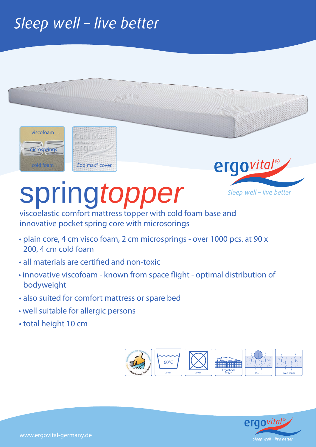## Sleep well - live better



**MARK RATION** 



## spring*topper*

viscoelastic comfort mattress topper with cold foam base and innovative pocket spring core with microsorings

- plain core, 4 cm visco foam, 2 cm microsprings over 1000 pcs. at 90 x 200, 4 cm cold foam
- all materials are certified and non-toxic
- innovative viscofoam known from space flight optimal distribution of bodyweight
- also suited for comfort mattress or spare bed
- well suitable for allergic persons
- total height 10 cm